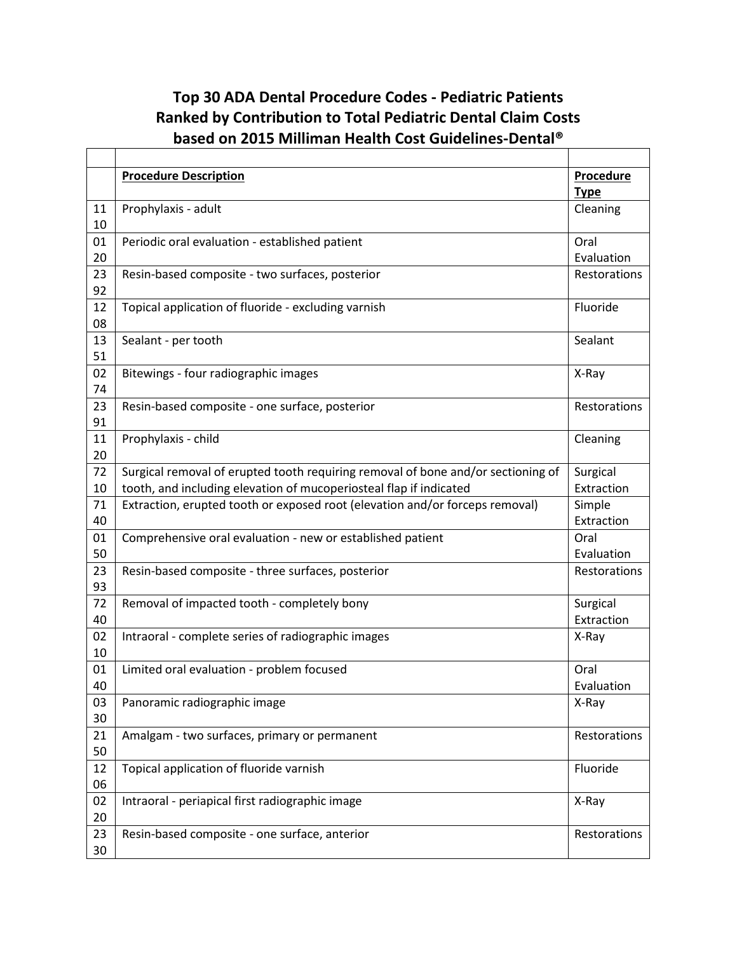## **Top 30 ADA Dental Procedure Codes - Pediatric Patients Ranked by Contribution to Total Pediatric Dental Claim Costs based on 2015 Milliman Health Cost Guidelines-Dental®**

|          | <b>Procedure Description</b>                                                     | Procedure    |
|----------|----------------------------------------------------------------------------------|--------------|
|          |                                                                                  | <b>Type</b>  |
| 11       | Prophylaxis - adult                                                              | Cleaning     |
| 10       |                                                                                  |              |
| 01       | Periodic oral evaluation - established patient                                   | Oral         |
| 20       |                                                                                  | Evaluation   |
| 23       | Resin-based composite - two surfaces, posterior                                  | Restorations |
| 92       |                                                                                  |              |
| 12       | Topical application of fluoride - excluding varnish                              | Fluoride     |
| 08       |                                                                                  |              |
| 13       | Sealant - per tooth                                                              | Sealant      |
| 51       |                                                                                  |              |
| 02       | Bitewings - four radiographic images                                             | X-Ray        |
| 74       |                                                                                  |              |
| 23<br>91 | Resin-based composite - one surface, posterior                                   | Restorations |
|          |                                                                                  |              |
| 11<br>20 | Prophylaxis - child                                                              | Cleaning     |
| 72       | Surgical removal of erupted tooth requiring removal of bone and/or sectioning of | Surgical     |
| 10       | tooth, and including elevation of mucoperiosteal flap if indicated               | Extraction   |
| 71       | Extraction, erupted tooth or exposed root (elevation and/or forceps removal)     | Simple       |
| 40       |                                                                                  | Extraction   |
| 01       | Comprehensive oral evaluation - new or established patient                       | Oral         |
| 50       |                                                                                  | Evaluation   |
| 23       | Resin-based composite - three surfaces, posterior                                | Restorations |
| 93       |                                                                                  |              |
| 72       | Removal of impacted tooth - completely bony                                      | Surgical     |
| 40       |                                                                                  | Extraction   |
| 02       | Intraoral - complete series of radiographic images                               | X-Ray        |
| 10       |                                                                                  |              |
| 01       | Limited oral evaluation - problem focused                                        | Oral         |
| 40       |                                                                                  | Evaluation   |
| 03       | Panoramic radiographic image                                                     | X-Ray        |
| 30       |                                                                                  |              |
| 21       | Amalgam - two surfaces, primary or permanent                                     | Restorations |
| 50       |                                                                                  |              |
| 12       | Topical application of fluoride varnish                                          | Fluoride     |
| 06       |                                                                                  |              |
| 02       | Intraoral - periapical first radiographic image                                  | X-Ray        |
| 20       |                                                                                  |              |
| 23       | Resin-based composite - one surface, anterior                                    | Restorations |
| 30       |                                                                                  |              |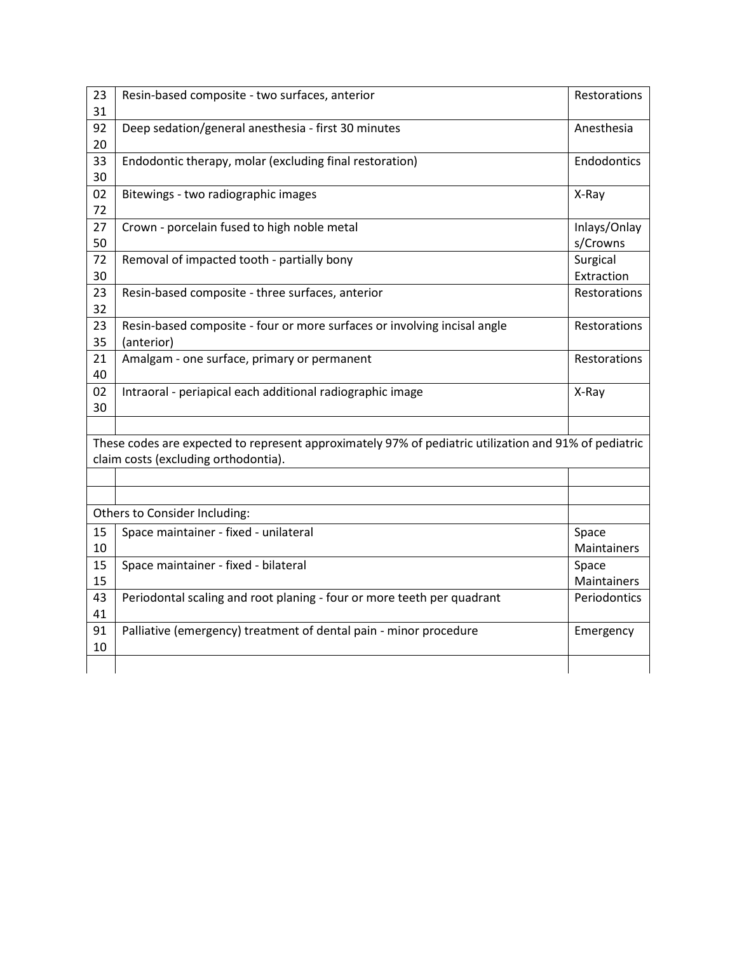| 23<br>31                             | Resin-based composite - two surfaces, anterior                                                        | Restorations             |
|--------------------------------------|-------------------------------------------------------------------------------------------------------|--------------------------|
| 92<br>20                             | Deep sedation/general anesthesia - first 30 minutes                                                   | Anesthesia               |
| 33<br>30                             | Endodontic therapy, molar (excluding final restoration)                                               | Endodontics              |
| 02<br>72                             | Bitewings - two radiographic images                                                                   | X-Ray                    |
| 27<br>50                             | Crown - porcelain fused to high noble metal                                                           | Inlays/Onlay<br>s/Crowns |
| 72<br>30                             | Removal of impacted tooth - partially bony                                                            | Surgical<br>Extraction   |
| 23<br>32                             | Resin-based composite - three surfaces, anterior                                                      | Restorations             |
| 23<br>35                             | Resin-based composite - four or more surfaces or involving incisal angle<br>(anterior)                | Restorations             |
| 21<br>40                             | Amalgam - one surface, primary or permanent                                                           | Restorations             |
| 02<br>30                             | Intraoral - periapical each additional radiographic image                                             | X-Ray                    |
|                                      | These codes are expected to represent approximately 97% of pediatric utilization and 91% of pediatric |                          |
| claim costs (excluding orthodontia). |                                                                                                       |                          |
|                                      |                                                                                                       |                          |
|                                      | Others to Consider Including:                                                                         |                          |
| 15<br>10                             | Space maintainer - fixed - unilateral                                                                 | Space<br>Maintainers     |
| 15<br>15                             | Space maintainer - fixed - bilateral                                                                  | Space<br>Maintainers     |
| 43<br>41                             | Periodontal scaling and root planing - four or more teeth per quadrant                                | Periodontics             |
| 91<br>10                             | Palliative (emergency) treatment of dental pain - minor procedure                                     | Emergency                |
|                                      |                                                                                                       |                          |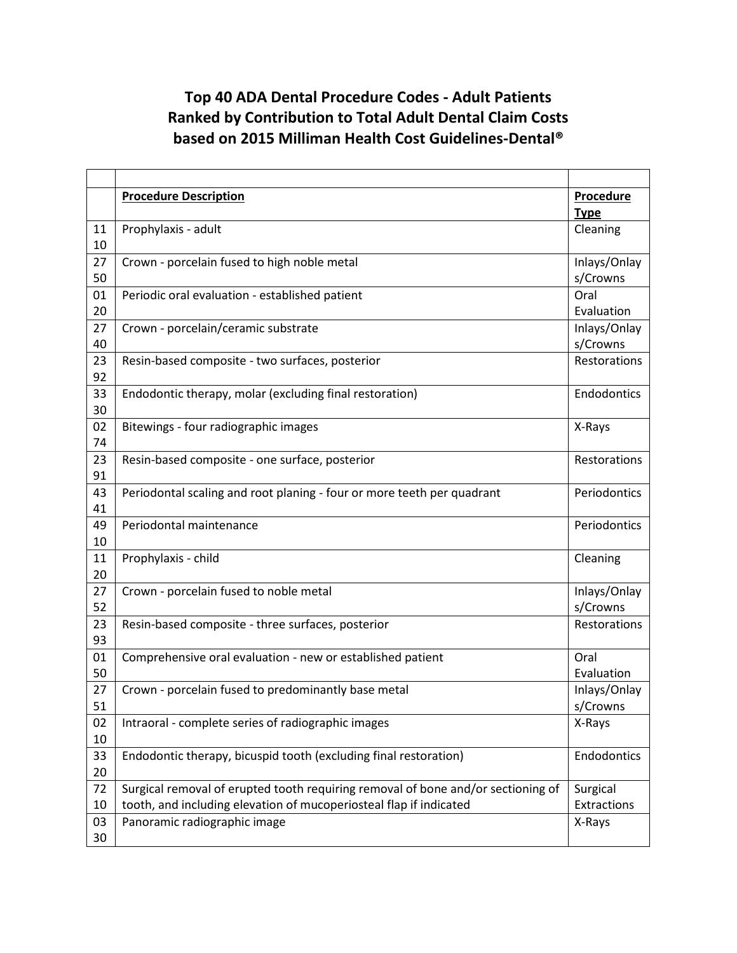## **Top 40 ADA Dental Procedure Codes - Adult Patients Ranked by Contribution to Total Adult Dental Claim Costs based on 2015 Milliman Health Cost Guidelines-Dental®**

|          | <b>Procedure Description</b>                                                     | <b>Procedure</b>         |
|----------|----------------------------------------------------------------------------------|--------------------------|
|          |                                                                                  | <b>Type</b>              |
| 11       | Prophylaxis - adult                                                              | Cleaning                 |
| 10       |                                                                                  |                          |
| 27       | Crown - porcelain fused to high noble metal                                      | Inlays/Onlay             |
| 50       |                                                                                  | s/Crowns                 |
| 01       | Periodic oral evaluation - established patient                                   | Oral                     |
| 20       |                                                                                  | Evaluation               |
| 27       | Crown - porcelain/ceramic substrate                                              | Inlays/Onlay             |
| 40       |                                                                                  | s/Crowns                 |
| 23       | Resin-based composite - two surfaces, posterior                                  | Restorations             |
| 92       |                                                                                  |                          |
| 33       | Endodontic therapy, molar (excluding final restoration)                          | Endodontics              |
| 30       |                                                                                  |                          |
| 02       | Bitewings - four radiographic images                                             | X-Rays                   |
| 74       |                                                                                  |                          |
| 23       | Resin-based composite - one surface, posterior                                   | Restorations             |
| 91       |                                                                                  |                          |
| 43       | Periodontal scaling and root planing - four or more teeth per quadrant           | Periodontics             |
| 41       |                                                                                  |                          |
| 49       | Periodontal maintenance                                                          | Periodontics             |
| 10       |                                                                                  |                          |
| 11       | Prophylaxis - child                                                              | Cleaning                 |
| 20<br>27 |                                                                                  |                          |
| 52       | Crown - porcelain fused to noble metal                                           | Inlays/Onlay<br>s/Crowns |
| 23       | Resin-based composite - three surfaces, posterior                                | Restorations             |
| 93       |                                                                                  |                          |
| 01       | Comprehensive oral evaluation - new or established patient                       | Oral                     |
| 50       |                                                                                  | Evaluation               |
| 27       | Crown - porcelain fused to predominantly base metal                              | Inlays/Onlay             |
| 51       |                                                                                  | s/Crowns                 |
| 02       | Intraoral - complete series of radiographic images                               | X-Rays                   |
| 10       |                                                                                  |                          |
| 33       | Endodontic therapy, bicuspid tooth (excluding final restoration)                 | Endodontics              |
| 20       |                                                                                  |                          |
| 72       | Surgical removal of erupted tooth requiring removal of bone and/or sectioning of | Surgical                 |
| 10       | tooth, and including elevation of mucoperiosteal flap if indicated               | Extractions              |
| 03       | Panoramic radiographic image                                                     | X-Rays                   |
| 30       |                                                                                  |                          |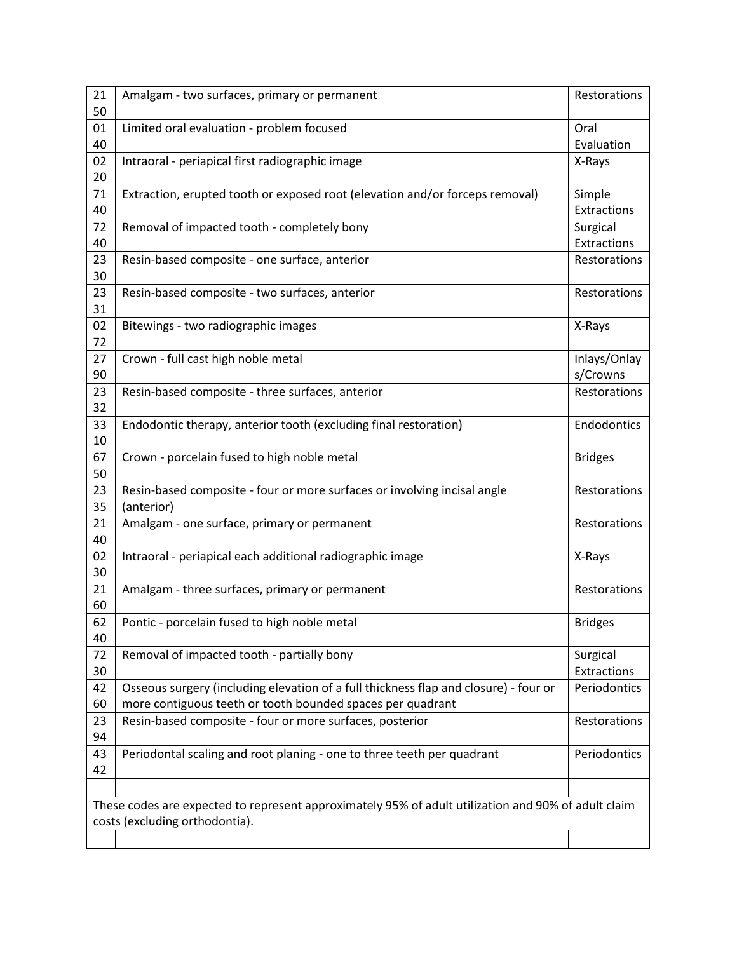| 21                                                                                                  | Amalgam - two surfaces, primary or permanent                                         | Restorations       |  |
|-----------------------------------------------------------------------------------------------------|--------------------------------------------------------------------------------------|--------------------|--|
| 50                                                                                                  |                                                                                      |                    |  |
| 01<br>40                                                                                            | Limited oral evaluation - problem focused                                            | Oral<br>Evaluation |  |
| 02                                                                                                  | Intraoral - periapical first radiographic image                                      | X-Rays             |  |
| 20                                                                                                  |                                                                                      |                    |  |
| 71                                                                                                  | Extraction, erupted tooth or exposed root (elevation and/or forceps removal)         | Simple             |  |
| 40                                                                                                  |                                                                                      | Extractions        |  |
| 72                                                                                                  | Removal of impacted tooth - completely bony                                          | Surgical           |  |
| 40                                                                                                  |                                                                                      | Extractions        |  |
| 23                                                                                                  | Resin-based composite - one surface, anterior                                        | Restorations       |  |
| 30                                                                                                  |                                                                                      |                    |  |
| 23                                                                                                  | Resin-based composite - two surfaces, anterior                                       | Restorations       |  |
| 31                                                                                                  |                                                                                      |                    |  |
| 02<br>72                                                                                            | Bitewings - two radiographic images                                                  | X-Rays             |  |
| 27                                                                                                  | Crown - full cast high noble metal                                                   | Inlays/Onlay       |  |
| 90                                                                                                  |                                                                                      | s/Crowns           |  |
| 23                                                                                                  | Resin-based composite - three surfaces, anterior                                     | Restorations       |  |
| 32                                                                                                  |                                                                                      |                    |  |
| 33                                                                                                  | Endodontic therapy, anterior tooth (excluding final restoration)                     | Endodontics        |  |
| 10                                                                                                  |                                                                                      |                    |  |
| 67                                                                                                  | Crown - porcelain fused to high noble metal                                          | <b>Bridges</b>     |  |
| 50                                                                                                  |                                                                                      |                    |  |
| 23                                                                                                  | Resin-based composite - four or more surfaces or involving incisal angle             | Restorations       |  |
| 35                                                                                                  | (anterior)                                                                           |                    |  |
| 21                                                                                                  | Amalgam - one surface, primary or permanent                                          | Restorations       |  |
| 40                                                                                                  |                                                                                      |                    |  |
| 02                                                                                                  | Intraoral - periapical each additional radiographic image                            | X-Rays             |  |
| 30<br>21                                                                                            |                                                                                      |                    |  |
| 60                                                                                                  | Amalgam - three surfaces, primary or permanent                                       | Restorations       |  |
| 62                                                                                                  | Pontic - porcelain fused to high noble metal                                         | <b>Bridges</b>     |  |
| 40                                                                                                  |                                                                                      |                    |  |
| 72                                                                                                  | Removal of impacted tooth - partially bony                                           | Surgical           |  |
| 30                                                                                                  |                                                                                      | Extractions        |  |
| 42                                                                                                  | Osseous surgery (including elevation of a full thickness flap and closure) - four or | Periodontics       |  |
| 60                                                                                                  | more contiguous teeth or tooth bounded spaces per quadrant                           |                    |  |
| 23                                                                                                  | Resin-based composite - four or more surfaces, posterior                             | Restorations       |  |
| 94                                                                                                  |                                                                                      |                    |  |
| 43                                                                                                  | Periodontal scaling and root planing - one to three teeth per quadrant               | Periodontics       |  |
| 42                                                                                                  |                                                                                      |                    |  |
|                                                                                                     |                                                                                      |                    |  |
| These codes are expected to represent approximately 95% of adult utilization and 90% of adult claim |                                                                                      |                    |  |
| costs (excluding orthodontia).                                                                      |                                                                                      |                    |  |
|                                                                                                     |                                                                                      |                    |  |